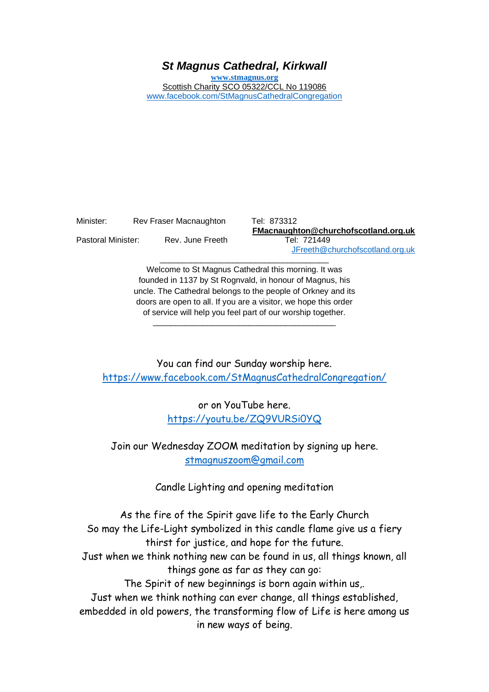# *St Magnus Cathedral, Kirkwall*

**[www.stmagnus.org](http://www.stmagnus.org/)** Scottish Charity SCO 05322/CCL No 119086 [www.facebook.com/StMagnusCathedralCongregation](http://www.facebook.com/StMagnusCathedralCongregation)

| Minister:          | Rev Fraser Macnaughton |
|--------------------|------------------------|
| Pastoral Minister: | Rev. June Freeth       |

Tel: 873312 **FMacnaughton@churchofscotland.org.uk** Tel: 721449 [JFreeth@churchofscotland.org.uk](mailto:JFreeth@churchofscotland.org.uk)

Welcome to St Magnus Cathedral this morning. It was founded in 1137 by St Rognvald, in honour of Magnus, his uncle. The Cathedral belongs to the people of Orkney and its doors are open to all. If you are a visitor, we hope this order of service will help you feel part of our worship together.

\_\_\_\_\_\_\_\_\_\_\_\_\_\_\_\_\_\_\_\_\_\_\_\_\_\_\_\_\_\_\_\_\_\_\_\_\_\_\_\_

\_\_\_\_\_\_\_\_\_\_\_\_\_\_\_\_\_\_\_\_\_\_\_\_\_\_\_\_\_\_\_\_\_\_\_\_\_

You can find our Sunday worship here. <https://www.facebook.com/StMagnusCathedralCongregation/>

> or on YouTube here. [https://youtu.be/ZQ9VURSi0YQ](https://avanan.url-protection.com/v1/url?o=https%3A//youtu.be/ZQ9VURSi0YQ&g=OGJmNDkyMDc5ZGQyNDE0MA==&h=NmY1YzQ3ODBlMjg2MmE2NmFlZjM5NDA5MDJmYWJiNWZiODEyYmI3NjVlMDQ4ODQwZjNkNmNhOWQ5YmVlZmUyOQ==&p=YXAzOmNvczphOm86MjRhNjI0ODQ5ZjZjMTgwYWFlMWQxMTFhNzM5M2UwZDk6djE6aDpU)

Join our Wednesday ZOOM meditation by signing up here. [stmagnuszoom@gmail.com](mailto:stmagnuszoom@gmail.com)

Candle Lighting and opening meditation

As the fire of the Spirit gave life to the Early Church So may the Life-Light symbolized in this candle flame give us a fiery thirst for justice, and hope for the future. Just when we think nothing new can be found in us, all things known, all things gone as far as they can go: The Spirit of new beginnings is born again within us,. Just when we think nothing can ever change, all things established, embedded in old powers, the transforming flow of Life is here among us in new ways of being.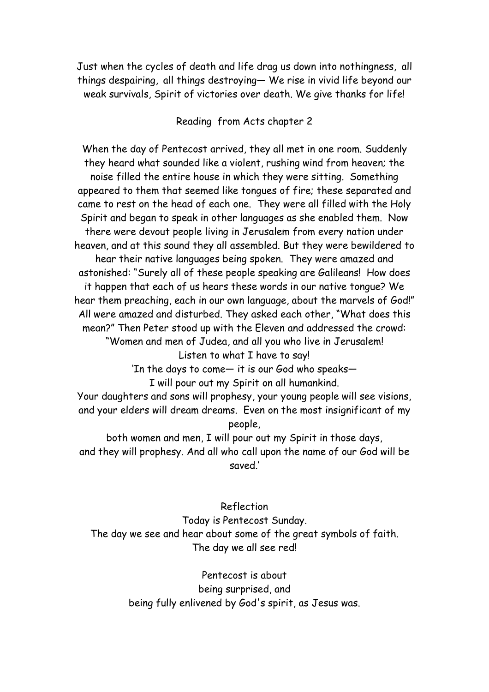Just when the cycles of death and life drag us down into nothingness, all things despairing, all things destroying— We rise in vivid life beyond our weak survivals, Spirit of victories over death. We give thanks for life!

## Reading from Acts chapter 2

When the day of Pentecost arrived, they all met in one room. Suddenly they heard what sounded like a violent, rushing wind from heaven; the noise filled the entire house in which they were sitting. Something appeared to them that seemed like tongues of fire; these separated and came to rest on the head of each one. They were all filled with the Holy Spirit and began to speak in other languages as she enabled them. Now there were devout people living in Jerusalem from every nation under heaven, and at this sound they all assembled. But they were bewildered to hear their native languages being spoken. They were amazed and astonished: "Surely all of these people speaking are Galileans! How does it happen that each of us hears these words in our native tongue? We hear them preaching, each in our own language, about the marvels of God!" All were amazed and disturbed. They asked each other, "What does this mean?" Then Peter stood up with the Eleven and addressed the crowd: "Women and men of Judea, and all you who live in Jerusalem!

Listen to what I have to say!

'In the days to come— it is our God who speaks— I will pour out my Spirit on all humankind.

Your daughters and sons will prophesy, your young people will see visions, and your elders will dream dreams. Even on the most insignificant of my people,

both women and men, I will pour out my Spirit in those days, and they will prophesy. And all who call upon the name of our God will be saved.'

Reflection Today is Pentecost Sunday. The day we see and hear about some of the great symbols of faith. The day we all see red!

> Pentecost is about being surprised, and being fully enlivened by God's spirit, as Jesus was.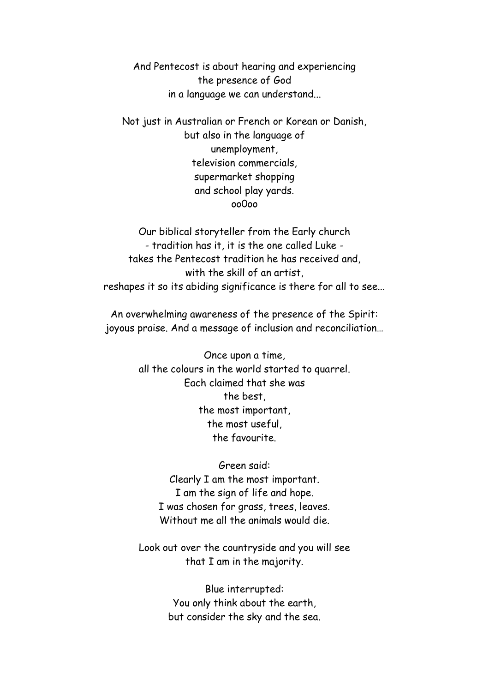And Pentecost is about hearing and experiencing the presence of God in a language we can understand...

Not just in Australian or French or Korean or Danish, but also in the language of unemployment, television commercials, supermarket shopping and school play yards. oo0oo

Our biblical storyteller from the Early church - tradition has it, it is the one called Luke takes the Pentecost tradition he has received and, with the skill of an artist, reshapes it so its abiding significance is there for all to see...

An overwhelming awareness of the presence of the Spirit: joyous praise. And a message of inclusion and reconciliation…

> Once upon a time, all the colours in the world started to quarrel. Each claimed that she was the best, the most important, the most useful, the favourite.

Green said: Clearly I am the most important. I am the sign of life and hope. I was chosen for grass, trees, leaves. Without me all the animals would die.

Look out over the countryside and you will see that I am in the majority.

> Blue interrupted: You only think about the earth, but consider the sky and the sea.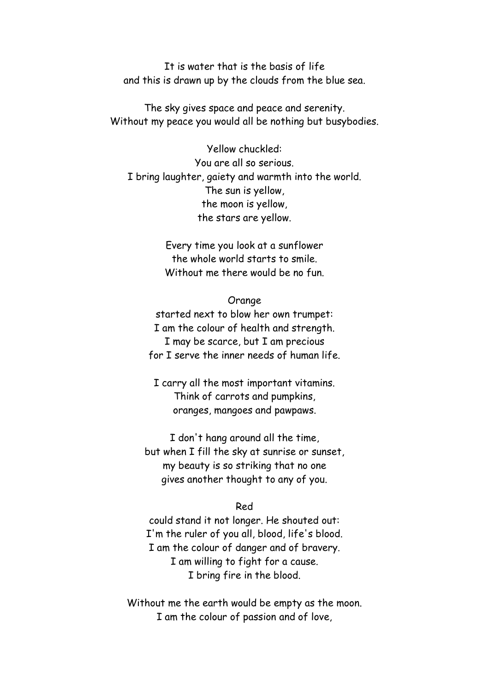It is water that is the basis of life and this is drawn up by the clouds from the blue sea.

The sky gives space and peace and serenity. Without my peace you would all be nothing but busybodies.

Yellow chuckled: You are all so serious. I bring laughter, gaiety and warmth into the world. The sun is yellow, the moon is yellow, the stars are yellow.

> Every time you look at a sunflower the whole world starts to smile. Without me there would be no fun.

### Orange

started next to blow her own trumpet: I am the colour of health and strength. I may be scarce, but I am precious for I serve the inner needs of human life.

I carry all the most important vitamins. Think of carrots and pumpkins, oranges, mangoes and pawpaws.

I don't hang around all the time, but when I fill the sky at sunrise or sunset, my beauty is so striking that no one gives another thought to any of you.

#### Red

could stand it not longer. He shouted out: I'm the ruler of you all, blood, life's blood. I am the colour of danger and of bravery. I am willing to fight for a cause. I bring fire in the blood.

Without me the earth would be empty as the moon. I am the colour of passion and of love,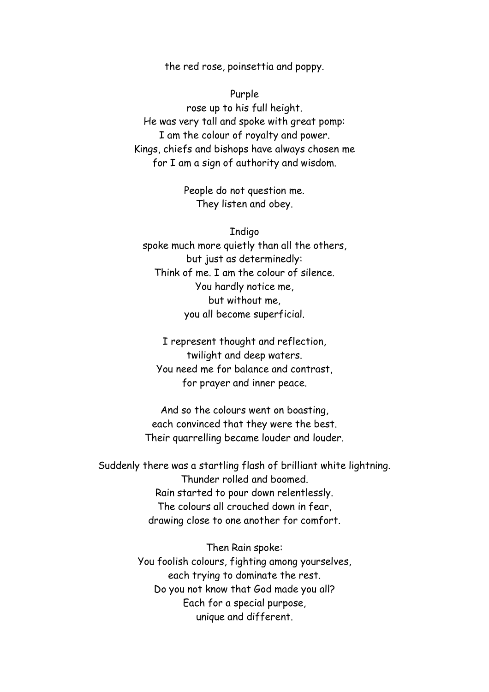the red rose, poinsettia and poppy.

Purple rose up to his full height. He was very tall and spoke with great pomp: I am the colour of royalty and power. Kings, chiefs and bishops have always chosen me for I am a sign of authority and wisdom.

> People do not question me. They listen and obey.

Indigo spoke much more quietly than all the others, but just as determinedly: Think of me. I am the colour of silence. You hardly notice me, but without me, you all become superficial.

I represent thought and reflection, twilight and deep waters. You need me for balance and contrast, for prayer and inner peace.

And so the colours went on boasting, each convinced that they were the best. Their quarrelling became louder and louder.

Suddenly there was a startling flash of brilliant white lightning. Thunder rolled and boomed. Rain started to pour down relentlessly. The colours all crouched down in fear, drawing close to one another for comfort.

> Then Rain spoke: You foolish colours, fighting among yourselves, each trying to dominate the rest. Do you not know that God made you all? Each for a special purpose, unique and different.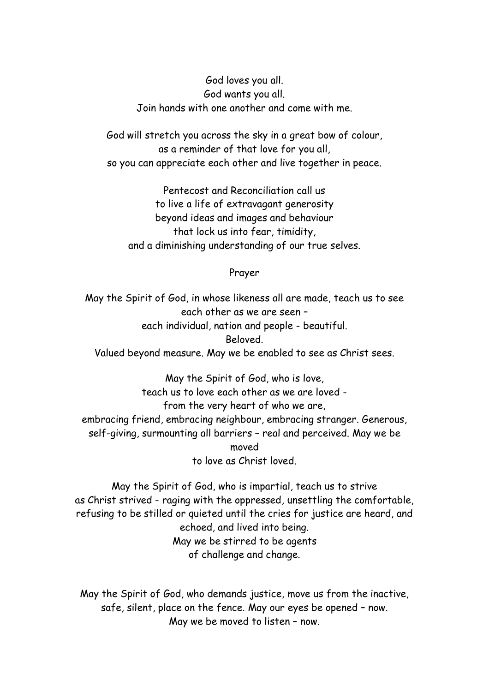God loves you all. God wants you all. Join hands with one another and come with me.

God will stretch you across the sky in a great bow of colour, as a reminder of that love for you all, so you can appreciate each other and live together in peace.

Pentecost and Reconciliation call us to live a life of extravagant generosity beyond ideas and images and behaviour that lock us into fear, timidity, and a diminishing understanding of our true selves.

### Prayer

May the Spirit of God, in whose likeness all are made, teach us to see each other as we are seen – each individual, nation and people - beautiful. Beloved. Valued beyond measure. May we be enabled to see as Christ sees.

May the Spirit of God, who is love, teach us to love each other as we are loved from the very heart of who we are, embracing friend, embracing neighbour, embracing stranger. Generous, self-giving, surmounting all barriers – real and perceived. May we be moved to love as Christ loved.

May the Spirit of God, who is impartial, teach us to strive as Christ strived - raging with the oppressed, unsettling the comfortable, refusing to be stilled or quieted until the cries for justice are heard, and echoed, and lived into being. May we be stirred to be agents of challenge and change.

May the Spirit of God, who demands justice, move us from the inactive, safe, silent, place on the fence. May our eyes be opened – now. May we be moved to listen – now.